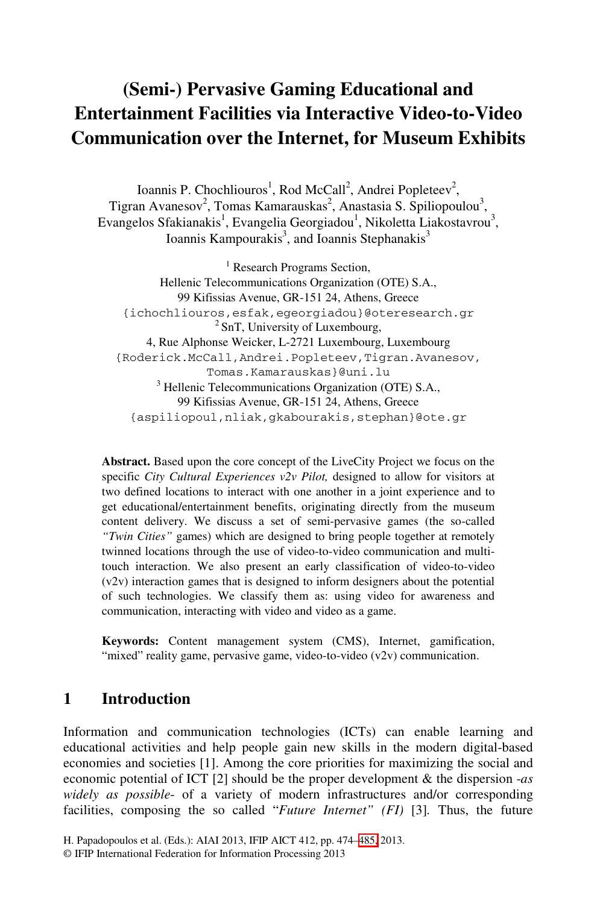# **(Semi-) Pervasive Gaming Educational and Entertainment Facilities via Interactive Video-to-Video Communication over the Internet, for Museum Exhibits**

Ioannis P. Chochliouros<sup>1</sup>, Rod McCall<sup>2</sup>, Andrei Popleteev<sup>2</sup>, Tigran Avanesov<sup>2</sup>, Tomas Kamarauskas<sup>2</sup>, Anastasia S. Spiliopoulou<sup>3</sup>, Evangelos Sfakianakis<sup>1</sup>, Evangelia Georgiadou<sup>1</sup>, Nikoletta Liakostavrou<sup>3</sup>, Ioannis Kampourakis<sup>3</sup>, and Ioannis Stephanakis<sup>3</sup>

<sup>1</sup> Research Programs Section, Hellenic Telecommunications Organization (OTE) S.A., 99 Kifissias Avenue, GR-151 24, Athens, Greece {ichochliouros,esfak,egeorgiadou}@oteresearch.gr  $2$  SnT, University of Luxembourg, 4, Rue Alphonse Weicker, L-2721 Luxembourg, Luxembourg {Roderick.McCall,Andrei.Popleteev,Tigran.Avanesov, Tomas.Kamarauskas}@uni.lu <sup>3</sup> Hellenic Telecommunications Organization (OTE) S.A., 99 Kifissias Avenue, GR-151 24, Athens, Greece {aspiliopoul,nliak,gkabourakis,stephan}@ote.gr

**Abstract.** Based upon the core concept of the LiveCity Project we focus on the specific *City Cultural Experiences v2v Pilot,* designed to allow for visitors at two defined locations to interact with one another in a joint experience and to get educational/entertainment benefits, originating directly from the museum content delivery. We discuss a set of semi-pervasive games (the so-called *"Twin Cities"* games) which are designed to bring people together at remotely twinned locations through the use of video-to-video communication and multitouch interaction. We also present an early classification of video-to-video (v2v) interaction games that is designed to inform designers about the potential of such technologies. We classify them as: using video for awareness and communication, interacting with video and video as a game.

**Keywords:** Content management system (CMS), Internet, gamification, "mixed" reality game, pervasive game, video-to-video (v2v) communication.

#### **1 Introduction**

Information and communication technologies (ICTs) can enable learning and educational activities and help people gain new skills in the modern digital-based economies and societies [1]. Among the core priorities for maximizing the social and economic potential of ICT [2] should be the proper development & the dispersion -*as widely as possible*- of a variety of modern infrastructures and/or corresponding facilities, composing the so called "*Future Internet" (FI)* [3]*.* Thus, the future

H. Papadopoulos et al. (Eds.): AIAI 2013, IFIP AICT 412, pp. 474–485, 2013.

<sup>©</sup> IFIP International Federation for Information Processing 2013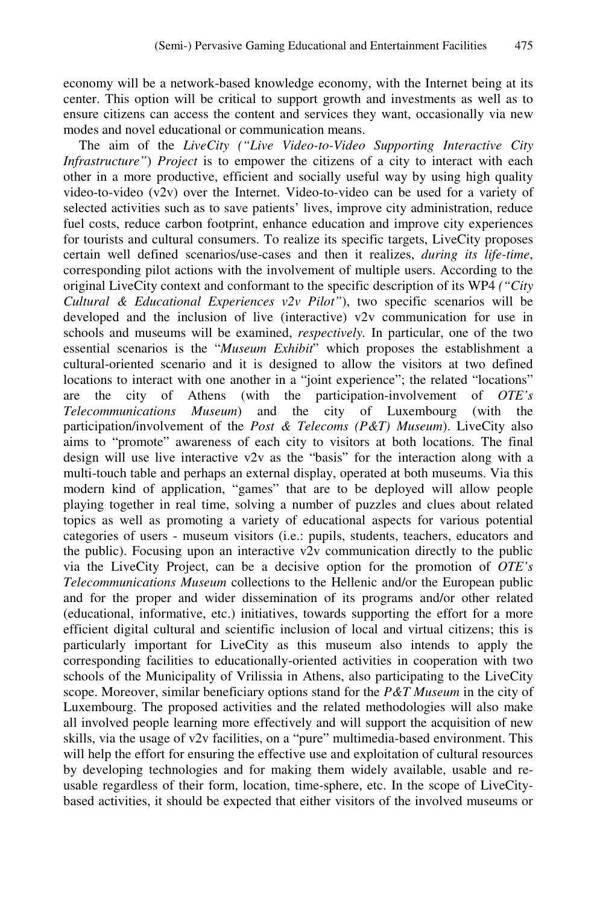economy will be a network-based knowledge economy, with the Internet being at its center. This option will be critical to support growth and investments as well as to ensure citizens can access the content and services they want, occasionally via new modes and novel educational or communication means.

The aim of the *LiveCity ("Live Video-to-Video Supporting Interactive City Infrastructure"*) *Project* is to empower the citizens of a city to interact with each other in a more productive, efficient and socially useful way by using high quality video-to-video  $(v2v)$  over the Internet. Video-to-video can be used for a variety of selected activities such as to save patients' lives, improve city administration, reduce fuel costs, reduce carbon footprint, enhance education and improve city experiences for tourists and cultural consumers. To realize its specific targets, LiveCity proposes certain well defined scenarios/use-cases and then it realizes, *during its life-time*, corresponding pilot actions with the involvement of multiple users. According to the original LiveCity context and conformant to the specific description of its WP4 *("City Cultural & Educational Experiences v2v Pilot"*), two specific scenarios will be developed and the inclusion of live (interactive) v2v communication for use in schools and museums will be examined, *respectively.* In particular, one of the two essential scenarios is the "*Museum Exhibit*" which proposes the establishment a cultural-oriented scenario and it is designed to allow the visitors at two defined locations to interact with one another in a "joint experience"; the related "locations" are the city of Athens (with the participation-involvement of *OTE's Telecommunications Museum*) and the city of Luxembourg (with the participation/involvement of the *Post & Telecoms (P&T) Museum*). LiveCity also aims to "promote" awareness of each city to visitors at both locations. The final design will use live interactive v2v as the "basis" for the interaction along with a multi-touch table and perhaps an external display, operated at both museums. Via this modern kind of application, "games" that are to be deployed will allow people playing together in real time, solving a number of puzzles and clues about related topics as well as promoting a variety of educational aspects for various potential categories of users - museum visitors (i.e.: pupils, students, teachers, educators and the public). Focusing upon an interactive v2v communication directly to the public via the LiveCity Project, can be a decisive option for the promotion of *OTE's Telecommunications Museum* collections to the Hellenic and/or the European public and for the proper and wider dissemination of its programs and/or other related (educational, informative, etc.) initiatives, towards supporting the effort for a more efficient digital cultural and scientific inclusion of local and virtual citizens; this is particularly important for LiveCity as this museum also intends to apply the corresponding facilities to educationally-oriented activities in cooperation with two schools of the Municipality of Vrilissia in Athens, also participating to the LiveCity scope. Moreover, similar beneficiary options stand for the *P&T Museum* in the city of Luxembourg. The proposed activities and the related methodologies will also make all involved people learning more effectively and will support the acquisition of new skills, via the usage of v2v facilities, on a "pure" multimedia-based environment. This will help the effort for ensuring the effective use and exploitation of cultural resources by developing technologies and for making them widely available, usable and reusable regardless of their form, location, time-sphere, etc. In the scope of LiveCitybased activities, it should be expected that either visitors of the involved museums or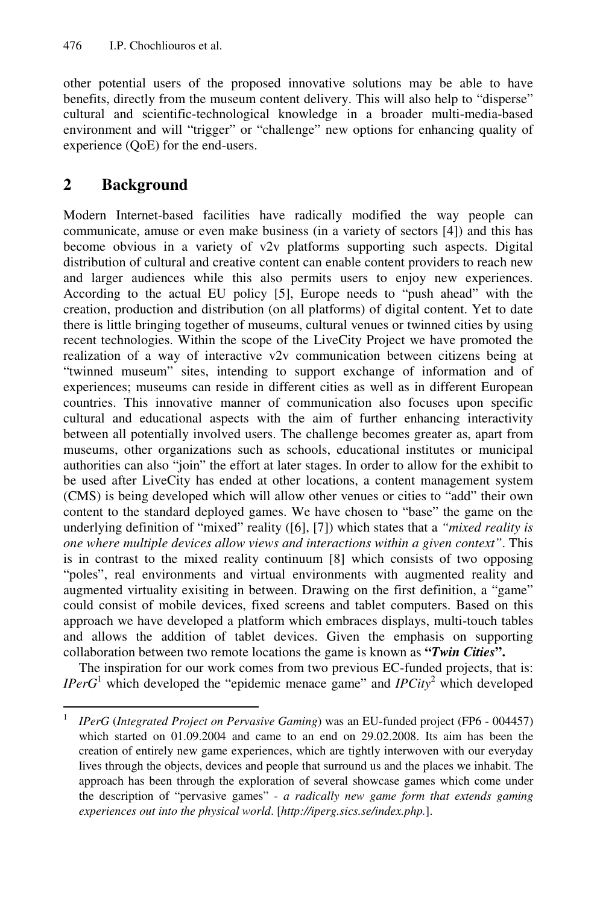other potential users of the proposed innovative solutions may be able to have benefits, directly from the museum content delivery. This will also help to "disperse" cultural and scientific-technological knowledge in a broader multi-media-based environment and will "trigger" or "challenge" new options for enhancing quality of experience (QoE) for the end-users.

### **2 Background**

-

Modern Internet-based facilities have radically modified the way people can communicate, amuse or even make business (in a variety of sectors [4]) and this has become obvious in a variety of v2v platforms supporting such aspects. Digital distribution of cultural and creative content can enable content providers to reach new and larger audiences while this also permits users to enjoy new experiences. According to the actual EU policy [5], Europe needs to "push ahead" with the creation, production and distribution (on all platforms) of digital content. Yet to date there is little bringing together of museums, cultural venues or twinned cities by using recent technologies. Within the scope of the LiveCity Project we have promoted the realization of a way of interactive v2v communication between citizens being at "twinned museum" sites, intending to support exchange of information and of experiences; museums can reside in different cities as well as in different European countries. This innovative manner of communication also focuses upon specific cultural and educational aspects with the aim of further enhancing interactivity between all potentially involved users. The challenge becomes greater as, apart from museums, other organizations such as schools, educational institutes or municipal authorities can also "join" the effort at later stages. In order to allow for the exhibit to be used after LiveCity has ended at other locations, a content management system (CMS) is being developed which will allow other venues or cities to "add" their own content to the standard deployed games. We have chosen to "base" the game on the underlying definition of "mixed" reality ([6], [7]) which states that a *"mixed reality is one where multiple devices allow views and interactions within a given context"*. This is in contrast to the mixed reality continuum [8] which consists of two opposing "poles", real environments and virtual environments with augmented reality and augmented virtuality exisiting in between. Drawing on the first definition, a "game" could consist of mobile devices, fixed screens and tablet computers. Based on this approach we have developed a platform which embraces displays, multi-touch tables and allows the addition of tablet devices. Given the emphasis on supporting collaboration between two remote locations the game is known as **"***Twin Cities***".**

The inspiration for our work comes from two previous EC-funded projects, that is: *IPerG*<sup>1</sup> which developed the "epidemic menace game" and *IPCity*<sup>2</sup> which developed

<sup>1</sup> *IPerG* (*Integrated Project on Pervasive Gaming*) was an EU-funded project (FP6 - 004457) which started on 01.09.2004 and came to an end on 29.02.2008. Its aim has been the creation of entirely new game experiences, which are tightly interwoven with our everyday lives through the objects, devices and people that surround us and the places we inhabit. The approach has been through the exploration of several showcase games which come under the description of "pervasive games" - *a radically new game form that extends gaming experiences out into the physical world*. [*http://iperg.sics.se/index.php.*].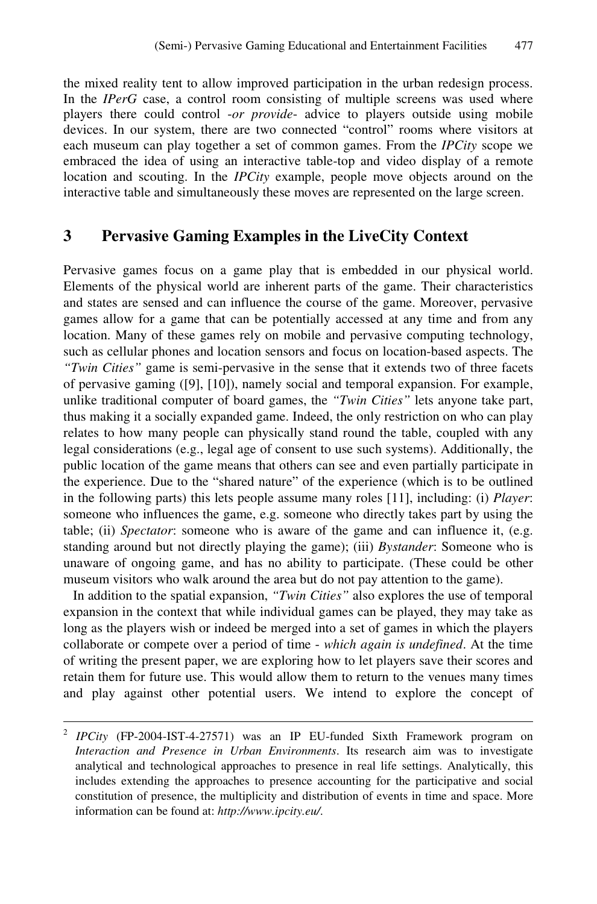the mixed reality tent to allow improved participation in the urban redesign process. In the *IPerG* case, a control room consisting of multiple screens was used where players there could control -*or provide*- advice to players outside using mobile devices. In our system, there are two connected "control" rooms where visitors at each museum can play together a set of common games. From the *IPCity* scope we embraced the idea of using an interactive table-top and video display of a remote location and scouting. In the *IPCity* example, people move objects around on the interactive table and simultaneously these moves are represented on the large screen.

### **3 Pervasive Gaming Examples in the LiveCity Context**

Pervasive games focus on a game play that is embedded in our physical world. Elements of the physical world are inherent parts of the game. Their characteristics and states are sensed and can influence the course of the game. Moreover, pervasive games allow for a game that can be potentially accessed at any time and from any location. Many of these games rely on mobile and pervasive computing technology, such as cellular phones and location sensors and focus on location-based aspects. The *"Twin Cities"* game is semi-pervasive in the sense that it extends two of three facets of pervasive gaming ([9], [10]), namely social and temporal expansion. For example, unlike traditional computer of board games, the *"Twin Cities"* lets anyone take part, thus making it a socially expanded game. Indeed, the only restriction on who can play relates to how many people can physically stand round the table, coupled with any legal considerations (e.g., legal age of consent to use such systems). Additionally, the public location of the game means that others can see and even partially participate in the experience. Due to the "shared nature" of the experience (which is to be outlined in the following parts) this lets people assume many roles [11], including: (i) *Player*: someone who influences the game, e.g. someone who directly takes part by using the table; (ii) *Spectator*: someone who is aware of the game and can influence it, (e.g. standing around but not directly playing the game); (iii) *Bystander*: Someone who is unaware of ongoing game, and has no ability to participate. (These could be other museum visitors who walk around the area but do not pay attention to the game).

In addition to the spatial expansion, *"Twin Cities"* also explores the use of temporal expansion in the context that while individual games can be played, they may take as long as the players wish or indeed be merged into a set of games in which the players collaborate or compete over a period of time - *which again is undefined*. At the time of writing the present paper, we are exploring how to let players save their scores and retain them for future use. This would allow them to return to the venues many times and play against other potential users. We intend to explore the concept of

 <sup>2</sup> *IPCity* (FP-2004-IST-4-27571) was an IP EU-funded Sixth Framework program on *Interaction and Presence in Urban Environments*. Its research aim was to investigate analytical and technological approaches to presence in real life settings. Analytically, this includes extending the approaches to presence accounting for the participative and social constitution of presence, the multiplicity and distribution of events in time and space. More information can be found at: *http://www.ipcity.eu/*.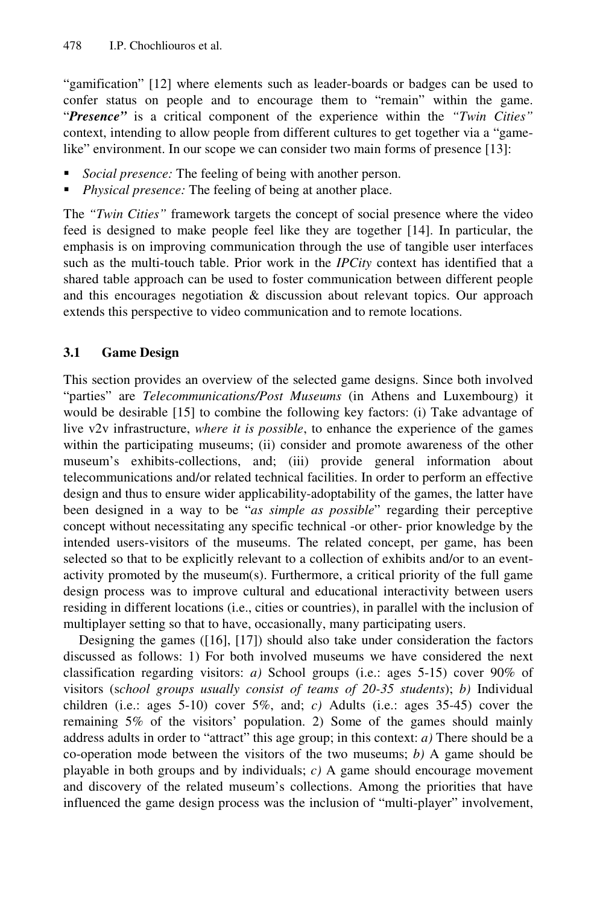"gamification" [12] where elements such as leader-boards or badges can be used to confer status on people and to encourage them to "remain" within the game. "*Presence"* is a critical component of the experience within the *"Twin Cities"* context, intending to allow people from different cultures to get together via a "gamelike" environment. In our scope we can consider two main forms of presence [13]:

- *Social presence:* The feeling of being with another person.
- *Physical presence:* The feeling of being at another place.

The *"Twin Cities"* framework targets the concept of social presence where the video feed is designed to make people feel like they are together [14]. In particular, the emphasis is on improving communication through the use of tangible user interfaces such as the multi-touch table. Prior work in the *IPCity* context has identified that a shared table approach can be used to foster communication between different people and this encourages negotiation & discussion about relevant topics. Our approach extends this perspective to video communication and to remote locations.

#### **3.1 Game Design**

This section provides an overview of the selected game designs. Since both involved "parties" are *Telecommunications/Post Museums* (in Athens and Luxembourg) it would be desirable [15] to combine the following key factors: (i) Take advantage of live v2v infrastructure, *where it is possible*, to enhance the experience of the games within the participating museums; (ii) consider and promote awareness of the other museum's exhibits-collections, and; (iii) provide general information about telecommunications and/or related technical facilities. In order to perform an effective design and thus to ensure wider applicability-adoptability of the games, the latter have been designed in a way to be "*as simple as possible*" regarding their perceptive concept without necessitating any specific technical -or other- prior knowledge by the intended users-visitors of the museums. The related concept, per game, has been selected so that to be explicitly relevant to a collection of exhibits and/or to an eventactivity promoted by the museum(s). Furthermore, a critical priority of the full game design process was to improve cultural and educational interactivity between users residing in different locations (i.e., cities or countries), in parallel with the inclusion of multiplayer setting so that to have, occasionally, many participating users.

Designing the games ([16], [17]) should also take under consideration the factors discussed as follows: 1) For both involved museums we have considered the next classification regarding visitors: *a)* School groups (i.e.: ages 5-15) cover 90% of visitors (s*chool groups usually consist of teams of 20-35 students*); *b)* Individual children (i.e.: ages 5-10) cover 5%, and; *c)* Adults (i.e.: ages 35-45) cover the remaining 5% of the visitors' population. 2) Some of the games should mainly address adults in order to "attract" this age group; in this context: *a)* There should be a co-operation mode between the visitors of the two museums; *b)* A game should be playable in both groups and by individuals; *c)* A game should encourage movement and discovery of the related museum's collections. Among the priorities that have influenced the game design process was the inclusion of "multi-player" involvement,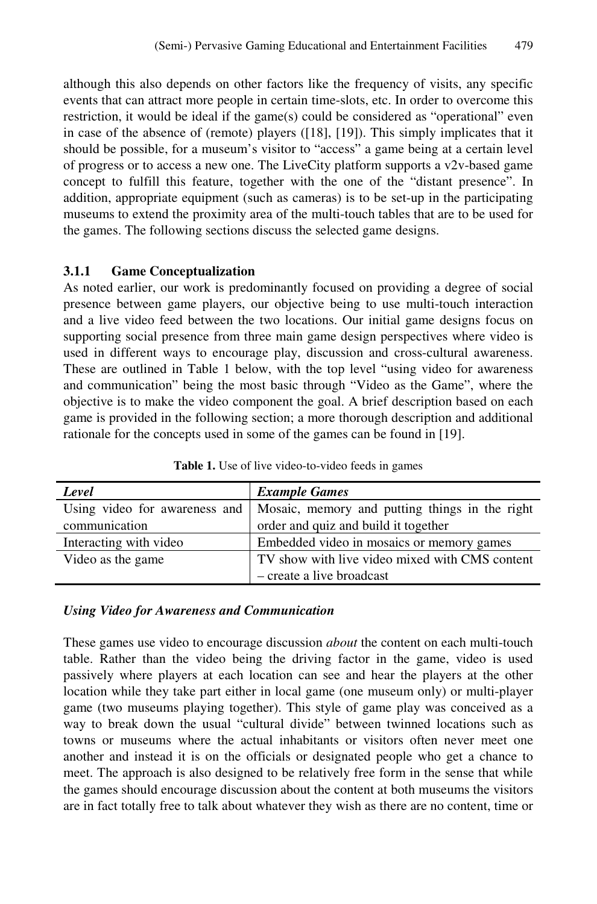although this also depends on other factors like the frequency of visits, any specific events that can attract more people in certain time-slots, etc. In order to overcome this restriction, it would be ideal if the game(s) could be considered as "operational" even in case of the absence of (remote) players ([18], [19]). This simply implicates that it should be possible, for a museum's visitor to "access" a game being at a certain level of progress or to access a new one. The LiveCity platform supports a v2v-based game concept to fulfill this feature, together with the one of the "distant presence". In addition, appropriate equipment (such as cameras) is to be set-up in the participating museums to extend the proximity area of the multi-touch tables that are to be used for the games. The following sections discuss the selected game designs.

#### **3.1.1 Game Conceptualization**

As noted earlier, our work is predominantly focused on providing a degree of social presence between game players, our objective being to use multi-touch interaction and a live video feed between the two locations. Our initial game designs focus on supporting social presence from three main game design perspectives where video is used in different ways to encourage play, discussion and cross-cultural awareness. These are outlined in Table 1 below, with the top level "using video for awareness and communication" being the most basic through "Video as the Game", where the objective is to make the video component the goal. A brief description based on each game is provided in the following section; a more thorough description and additional rationale for the concepts used in some of the games can be found in [19].

| Level                  | <b>Example Games</b>                                                           |
|------------------------|--------------------------------------------------------------------------------|
|                        | Using video for awareness and   Mosaic, memory and putting things in the right |
| communication          | order and quiz and build it together                                           |
| Interacting with video | Embedded video in mosaics or memory games                                      |
| Video as the game      | TV show with live video mixed with CMS content                                 |
|                        | – create a live broadcast                                                      |

**Table 1.** Use of live video-to-video feeds in games

#### *Using Video for Awareness and Communication*

These games use video to encourage discussion *about* the content on each multi-touch table. Rather than the video being the driving factor in the game, video is used passively where players at each location can see and hear the players at the other location while they take part either in local game (one museum only) or multi-player game (two museums playing together). This style of game play was conceived as a way to break down the usual "cultural divide" between twinned locations such as towns or museums where the actual inhabitants or visitors often never meet one another and instead it is on the officials or designated people who get a chance to meet. The approach is also designed to be relatively free form in the sense that while the games should encourage discussion about the content at both museums the visitors are in fact totally free to talk about whatever they wish as there are no content, time or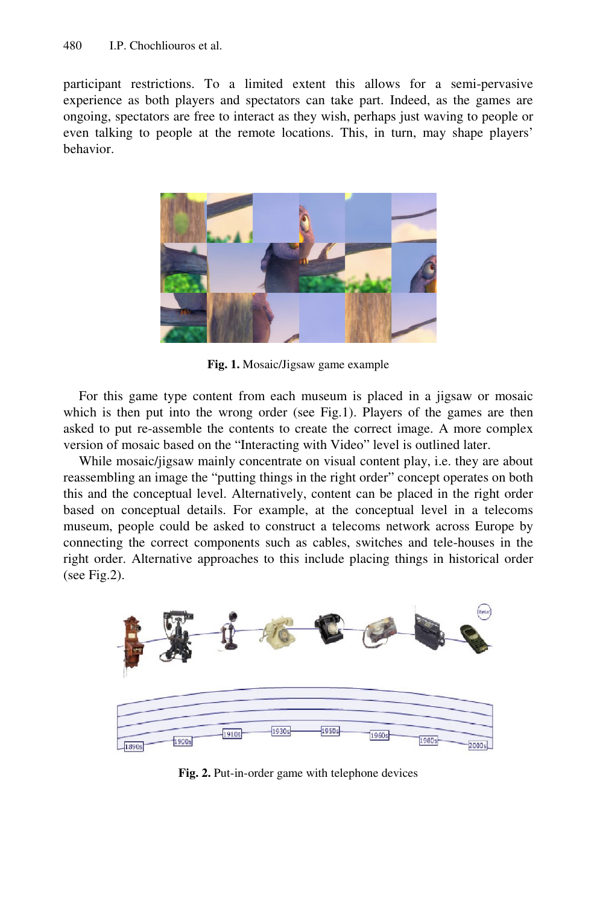participant restrictions. To a limited extent this allows for a semi-pervasive experience as both players and spectators can take part. Indeed, as the games are ongoing, spectators are free to interact as they wish, perhaps just waving to people or even talking to people at the remote locations. This, in turn, may shape players' behavior.



**Fig. 1.** Mosaic/Jigsaw game example

For this game type content from each museum is placed in a jigsaw or mosaic which is then put into the wrong order (see Fig.1). Players of the games are then asked to put re-assemble the contents to create the correct image. A more complex version of mosaic based on the "Interacting with Video" level is outlined later.

While mosaic/jigsaw mainly concentrate on visual content play, i.e. they are about reassembling an image the "putting things in the right order" concept operates on both this and the conceptual level. Alternatively, content can be placed in the right order based on conceptual details. For example, at the conceptual level in a telecoms museum, people could be asked to construct a telecoms network across Europe by connecting the correct components such as cables, switches and tele-houses in the right order. Alternative approaches to this include placing things in historical order (see Fig.2).



**Fig. 2.** Put-in-order game with telephone devices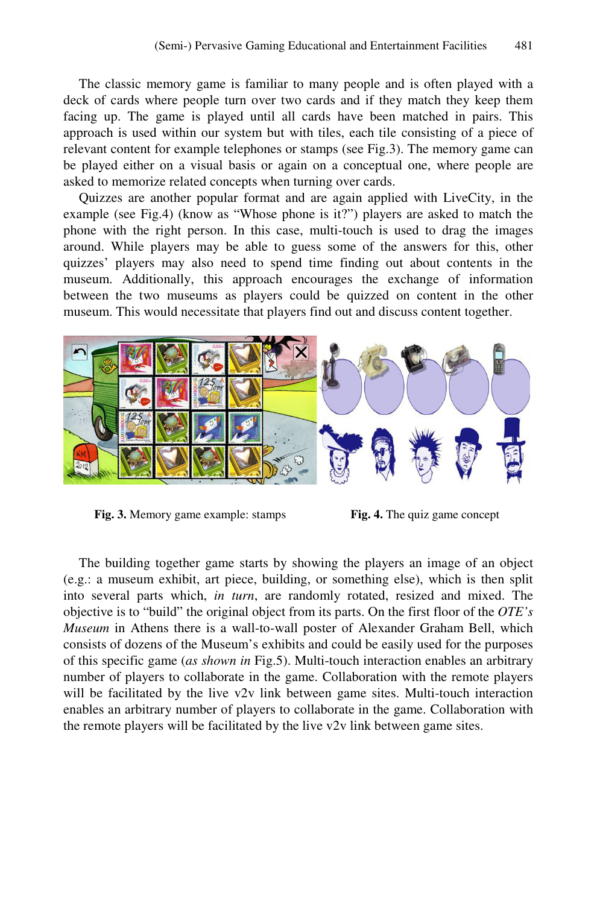The classic memory game is familiar to many people and is often played with a deck of cards where people turn over two cards and if they match they keep them facing up. The game is played until all cards have been matched in pairs. This approach is used within our system but with tiles, each tile consisting of a piece of relevant content for example telephones or stamps (see Fig.3). The memory game can be played either on a visual basis or again on a conceptual one, where people are asked to memorize related concepts when turning over cards.

Quizzes are another popular format and are again applied with LiveCity, in the example (see Fig.4) (know as "Whose phone is it?") players are asked to match the phone with the right person. In this case, multi-touch is used to drag the images around. While players may be able to guess some of the answers for this, other quizzes' players may also need to spend time finding out about contents in the museum. Additionally, this approach encourages the exchange of information between the two museums as players could be quizzed on content in the other museum. This would necessitate that players find out and discuss content together.



**Fig. 3.** Memory game example: stamps **Fig. 4.** The quiz game concept

The building together game starts by showing the players an image of an object (e.g.: a museum exhibit, art piece, building, or something else), which is then split into several parts which, *in turn*, are randomly rotated, resized and mixed. The objective is to "build" the original object from its parts. On the first floor of the *OTE's Museum* in Athens there is a wall-to-wall poster of Alexander Graham Bell, which consists of dozens of the Museum's exhibits and could be easily used for the purposes of this specific game (*as shown in* Fig.5). Multi-touch interaction enables an arbitrary number of players to collaborate in the game. Collaboration with the remote players will be facilitated by the live v2v link between game sites. Multi-touch interaction enables an arbitrary number of players to collaborate in the game. Collaboration with the remote players will be facilitated by the live v2v link between game sites.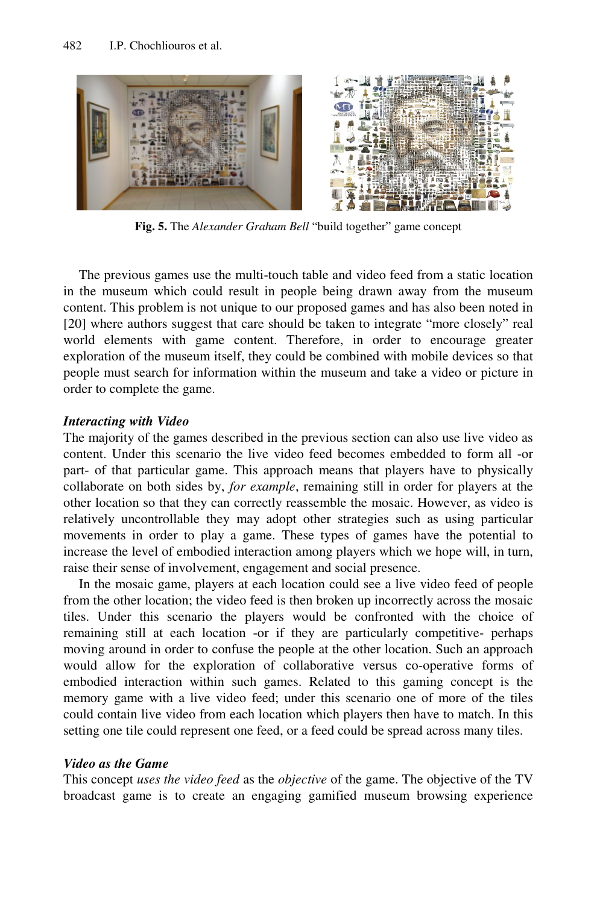

**Fig. 5.** The *Alexander Graham Bell* "build together" game concept

The previous games use the multi-touch table and video feed from a static location in the museum which could result in people being drawn away from the museum content. This problem is not unique to our proposed games and has also been noted in [20] where authors suggest that care should be taken to integrate "more closely" real world elements with game content. Therefore, in order to encourage greater exploration of the museum itself, they could be combined with mobile devices so that people must search for information within the museum and take a video or picture in order to complete the game.

#### *Interacting with Video*

The majority of the games described in the previous section can also use live video as content. Under this scenario the live video feed becomes embedded to form all -or part- of that particular game. This approach means that players have to physically collaborate on both sides by, *for example*, remaining still in order for players at the other location so that they can correctly reassemble the mosaic. However, as video is relatively uncontrollable they may adopt other strategies such as using particular movements in order to play a game. These types of games have the potential to increase the level of embodied interaction among players which we hope will, in turn, raise their sense of involvement, engagement and social presence.

In the mosaic game, players at each location could see a live video feed of people from the other location; the video feed is then broken up incorrectly across the mosaic tiles. Under this scenario the players would be confronted with the choice of remaining still at each location -or if they are particularly competitive- perhaps moving around in order to confuse the people at the other location. Such an approach would allow for the exploration of collaborative versus co-operative forms of embodied interaction within such games. Related to this gaming concept is the memory game with a live video feed; under this scenario one of more of the tiles could contain live video from each location which players then have to match. In this setting one tile could represent one feed, or a feed could be spread across many tiles.

#### *Video as the Game*

This concept *uses the video feed* as the *objective* of the game. The objective of the TV broadcast game is to create an engaging gamified museum browsing experience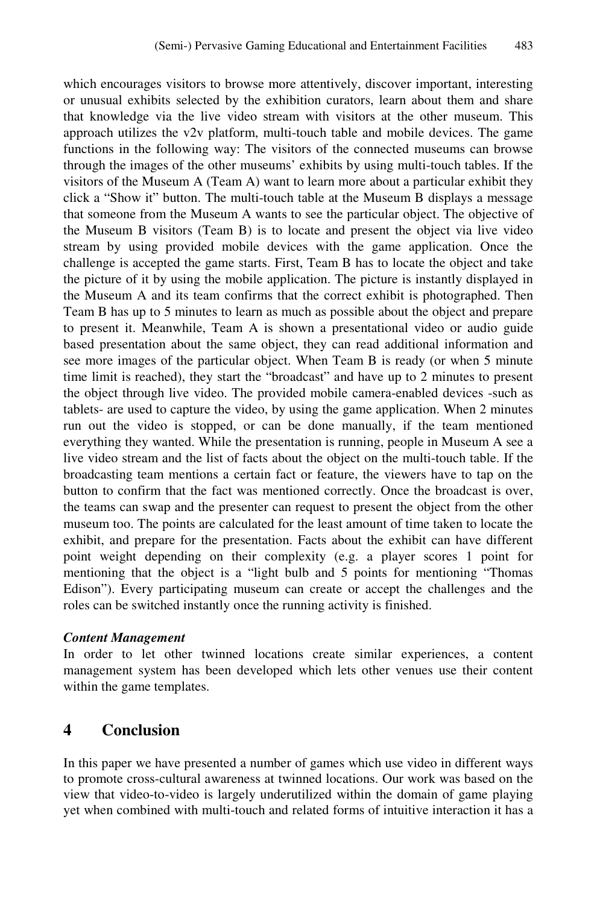which encourages visitors to browse more attentively, discover important, interesting or unusual exhibits selected by the exhibition curators, learn about them and share that knowledge via the live video stream with visitors at the other museum. This approach utilizes the v2v platform, multi-touch table and mobile devices. The game functions in the following way: The visitors of the connected museums can browse through the images of the other museums' exhibits by using multi-touch tables. If the visitors of the Museum A (Team A) want to learn more about a particular exhibit they click a "Show it" button. The multi-touch table at the Museum B displays a message that someone from the Museum A wants to see the particular object. The objective of the Museum B visitors (Team B) is to locate and present the object via live video stream by using provided mobile devices with the game application. Once the challenge is accepted the game starts. First, Team B has to locate the object and take the picture of it by using the mobile application. The picture is instantly displayed in the Museum A and its team confirms that the correct exhibit is photographed. Then Team B has up to 5 minutes to learn as much as possible about the object and prepare to present it. Meanwhile, Team A is shown a presentational video or audio guide based presentation about the same object, they can read additional information and see more images of the particular object. When Team B is ready (or when 5 minute time limit is reached), they start the "broadcast" and have up to 2 minutes to present the object through live video. The provided mobile camera-enabled devices -such as tablets- are used to capture the video, by using the game application. When 2 minutes run out the video is stopped, or can be done manually, if the team mentioned everything they wanted. While the presentation is running, people in Museum A see a live video stream and the list of facts about the object on the multi-touch table. If the broadcasting team mentions a certain fact or feature, the viewers have to tap on the button to confirm that the fact was mentioned correctly. Once the broadcast is over, the teams can swap and the presenter can request to present the object from the other museum too. The points are calculated for the least amount of time taken to locate the exhibit, and prepare for the presentation. Facts about the exhibit can have different point weight depending on their complexity (e.g. a player scores 1 point for mentioning that the object is a "light bulb and 5 points for mentioning "Thomas Edison"). Every participating museum can create or accept the challenges and the roles can be switched instantly once the running activity is finished.

#### *Content Management*

In order to let other twinned locations create similar experiences, a content management system has been developed which lets other venues use their content within the game templates.

### **4 Conclusion**

In this paper we have presented a number of games which use video in different ways to promote cross-cultural awareness at twinned locations. Our work was based on the view that video-to-video is largely underutilized within the domain of game playing yet when combined with multi-touch and related forms of intuitive interaction it has a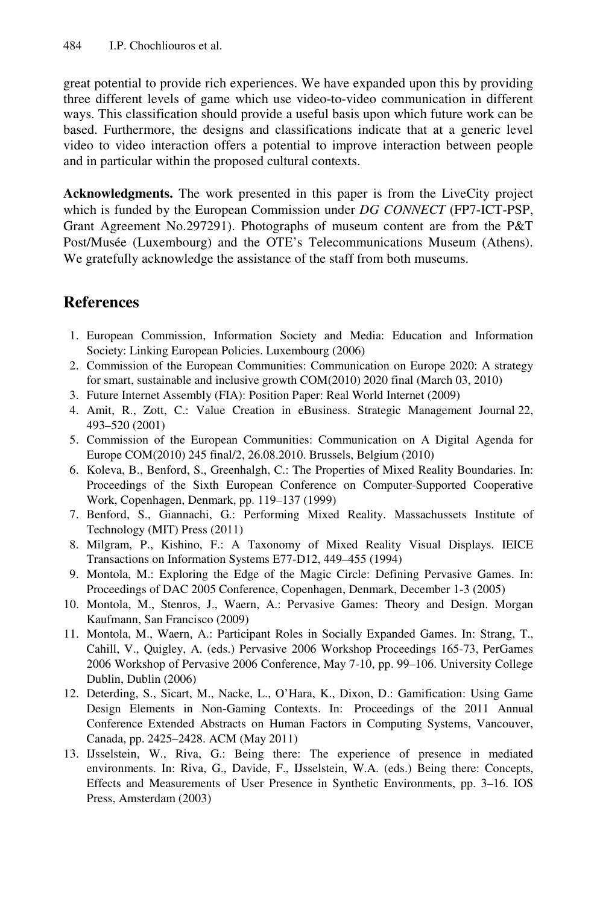great potential to provide rich experiences. We have expanded upon this by providing three different levels of game which use video-to-video communication in different ways. This classification should provide a useful basis upon which future work can be based. Furthermore, the designs and classifications indicate that at a generic level video to video interaction offers a potential to improve interaction between people and in particular within the proposed cultural contexts.

**Acknowledgments.** The work presented in this paper is from the LiveCity project which is funded by the European Commission under *DG CONNECT* (FP7-ICT-PSP, Grant Agreement No.297291). Photographs of museum content are from the P&T Post/Musée (Luxembourg) and the OTE's Telecommunications Museum (Athens). We gratefully acknowledge the assistance of the staff from both museums.

## **References**

- 1. European Commission, Information Society and Media: Education and Information Society: Linking European Policies. Luxembourg (2006)
- 2. Commission of the European Communities: Communication on Europe 2020: A strategy for smart, sustainable and inclusive growth COM(2010) 2020 final (March 03, 2010)
- 3. Future Internet Assembly (FIA): Position Paper: Real World Internet (2009)
- 4. Amit, R., Zott, C.: Value Creation in eBusiness. Strategic Management Journal 22, 493–520 (2001)
- 5. Commission of the European Communities: Communication on A Digital Agenda for Europe COM(2010) 245 final/2, 26.08.2010. Brussels, Belgium (2010)
- 6. Koleva, B., Benford, S., Greenhalgh, C.: The Properties of Mixed Reality Boundaries. In: Proceedings of the Sixth European Conference on Computer-Supported Cooperative Work, Copenhagen, Denmark, pp. 119–137 (1999)
- 7. Benford, S., Giannachi, G.: Performing Mixed Reality. Massachussets Institute of Technology (MIT) Press (2011)
- 8. Milgram, P., Kishino, F.: A Taxonomy of Mixed Reality Visual Displays. IEICE Transactions on Information Systems E77-D12, 449–455 (1994)
- 9. Montola, M.: Exploring the Edge of the Magic Circle: Defining Pervasive Games. In: Proceedings of DAC 2005 Conference, Copenhagen, Denmark, December 1-3 (2005)
- 10. Montola, M., Stenros, J., Waern, A.: Pervasive Games: Theory and Design. Morgan Kaufmann, San Francisco (2009)
- 11. Montola, M., Waern, A.: Participant Roles in Socially Expanded Games. In: Strang, T., Cahill, V., Quigley, A. (eds.) Pervasive 2006 Workshop Proceedings 165-73, PerGames 2006 Workshop of Pervasive 2006 Conference, May 7-10, pp. 99–106. University College Dublin, Dublin (2006)
- 12. Deterding, S., Sicart, M., Nacke, L., O'Hara, K., Dixon, D.: Gamification: Using Game Design Elements in Non-Gaming Contexts. In: Proceedings of the 2011 Annual Conference Extended Abstracts on Human Factors in Computing Systems, Vancouver, Canada, pp. 2425–2428. ACM (May 2011)
- 13. IJsselstein, W., Riva, G.: Being there: The experience of presence in mediated environments. In: Riva, G., Davide, F., IJsselstein, W.A. (eds.) Being there: Concepts, Effects and Measurements of User Presence in Synthetic Environments, pp. 3–16. IOS Press, Amsterdam (2003)